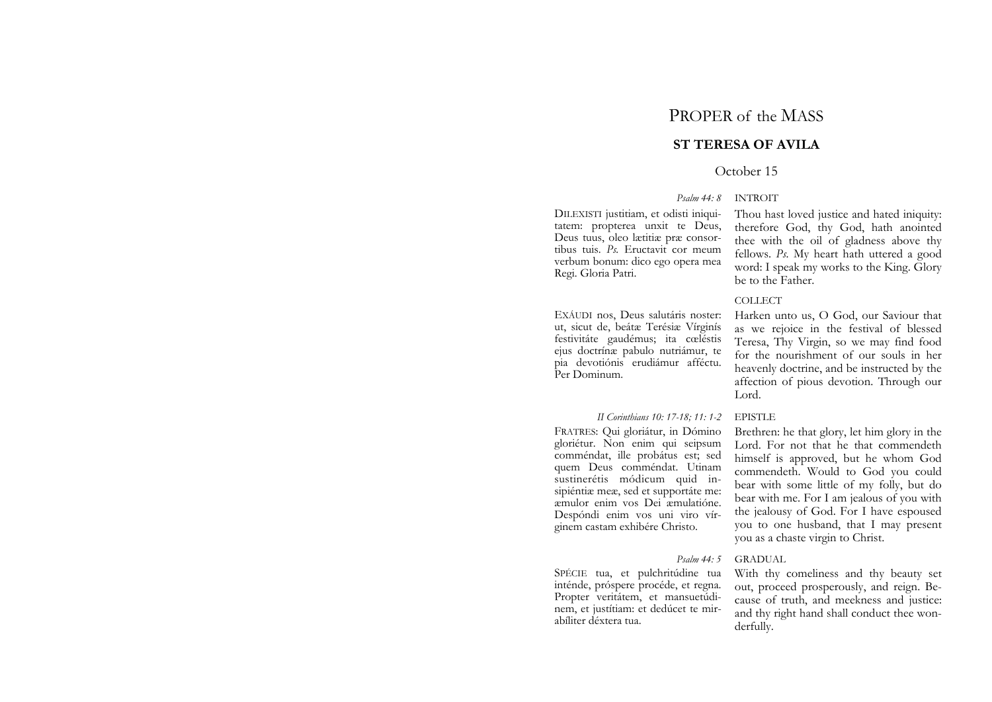# PROPER of the MASS

# **ST TERESA OF AVILA**

### October 15

#### *Psalm 44: 8* INTROIT

DILEXISTI justitiam, et odisti iniquitatem: propterea unxit te Deus, Deus tuus, oleo lætitiæ præ consortibus tuis. *Ps.* Eructavit cor meum verbum bonum: dico ego opera mea Regi. Gloria Patri.

EXÁUDI nos, Deus salutáris noster: ut, sicut de, beátæ Terésiæ Vírginís festivitáte gaudémus; ita cœléstis ejus doctrínæ pabulo nutriámur, te pia devotiónis erudiámur afféctu. Per Dominum.

#### *II Corinthians 10: 17-18; 11: 1-2* EPISTLE

FRATRES: Qui gloriátur, in Dómino gloriétur. Non enim qui seipsum comméndat, ille probátus est; sed quem Deus comméndat. Utinam sustinerétis módicum quid insipiéntiæ meæ, sed et supportáte me: æmulor enim vos Dei æmulatióne. Despóndi enim vos uni viro vírginem castam exhibére Christo.

#### *Psalm 44: 5* GRADUAL

With thy comeliness and thy beauty set out, proceed prosperously, and reign. Because of truth, and meekness and justice: and thy right hand shall conduct thee wonderfully.

SPÉCIE tua, et pulchritúdine tua inténde, próspere procéde, et regna. Propter veritátem, et mansuetúdinem, et justítiam: et dedúcet te mirabíliter déxtera tua.

Thou hast loved justice and hated iniquity: therefore God, thy God, hath anointed thee with the oil of gladness above thy fellows. *Ps.* My heart hath uttered a good word: I speak my works to the King. Glory be to the Father.

# COLLECT

Harken unto us, O God, our Saviour that as we rejoice in the festival of blessed Teresa, Thy Virgin, so we may find food for the nourishment of our souls in her heavenly doctrine, and be instructed by the affection of pious devotion. Through our Lord.

Brethren: he that glory, let him glory in the Lord. For not that he that commendeth himself is approved, but he whom God commendeth. Would to God you could bear with some little of my folly, but do bear with me. For I am jealous of you with the jealousy of God. For I have espoused you to one husband, that I may present you as a chaste virgin to Christ.